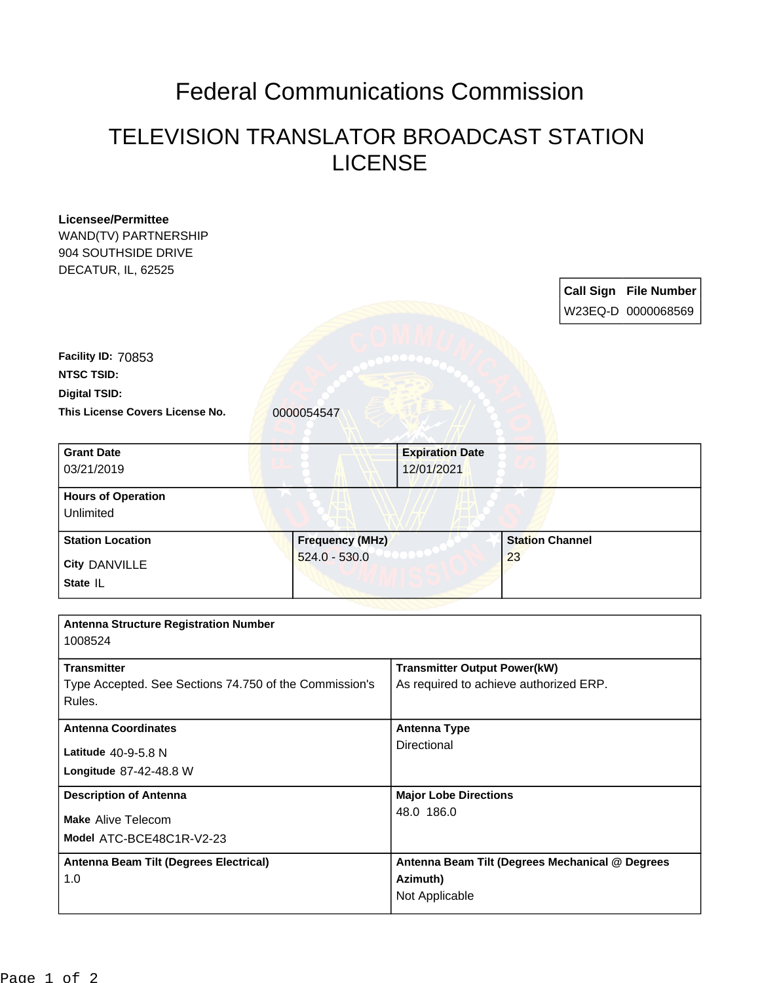## Federal Communications Commission

## TELEVISION TRANSLATOR BROADCAST STATION LICENSE

| <b>Licensee/Permittee</b><br>WAND(TV) PARTNERSHIP<br>904 SOUTHSIDE DRIVE<br>DECATUR, IL, 62525 |                        |                                                                               |                        |                                                    |
|------------------------------------------------------------------------------------------------|------------------------|-------------------------------------------------------------------------------|------------------------|----------------------------------------------------|
|                                                                                                |                        |                                                                               |                        | <b>Call Sign File Number</b><br>W23EQ-D 0000068569 |
| Facility ID: 70853                                                                             |                        |                                                                               |                        |                                                    |
| <b>NTSC TSID:</b>                                                                              |                        |                                                                               |                        |                                                    |
| <b>Digital TSID:</b>                                                                           |                        |                                                                               |                        |                                                    |
| This License Covers License No.                                                                | 0000054547             |                                                                               |                        |                                                    |
| <b>Grant Date</b><br>03/21/2019                                                                |                        | <b>Expiration Date</b><br>12/01/2021                                          |                        |                                                    |
| <b>Hours of Operation</b><br>Unlimited                                                         |                        |                                                                               |                        |                                                    |
| <b>Station Location</b>                                                                        | <b>Frequency (MHz)</b> |                                                                               | <b>Station Channel</b> |                                                    |
| <b>City DANVILLE</b>                                                                           | $524.0 - 530.0$        |                                                                               | 23                     |                                                    |
| State IL                                                                                       |                        |                                                                               |                        |                                                    |
| <b>Antenna Structure Registration Number</b><br>1008524                                        |                        |                                                                               |                        |                                                    |
| <b>Transmitter</b><br>Type Accepted. See Sections 74.750 of the Commission's<br>Rules.         |                        | <b>Transmitter Output Power(kW)</b><br>As required to achieve authorized ERP. |                        |                                                    |
| <b>Antenna Coordinates</b>                                                                     |                        | <b>Antenna Type</b>                                                           |                        |                                                    |
| Latitude 40-9-5.8 N                                                                            |                        | Directional                                                                   |                        |                                                    |
| Longitude 87-42-48.8 W                                                                         |                        |                                                                               |                        |                                                    |
| <b>Description of Antenna</b><br><b>Make Alive Telecom</b>                                     |                        | <b>Major Lobe Directions</b><br>48.0 186.0                                    |                        |                                                    |
|                                                                                                |                        |                                                                               |                        |                                                    |
| Antenna Beam Tilt (Degrees Electrical)<br>1.0                                                  |                        | Antenna Beam Tilt (Degrees Mechanical @ Degrees<br>Azimuth)<br>Not Applicable |                        |                                                    |
|                                                                                                |                        |                                                                               |                        |                                                    |